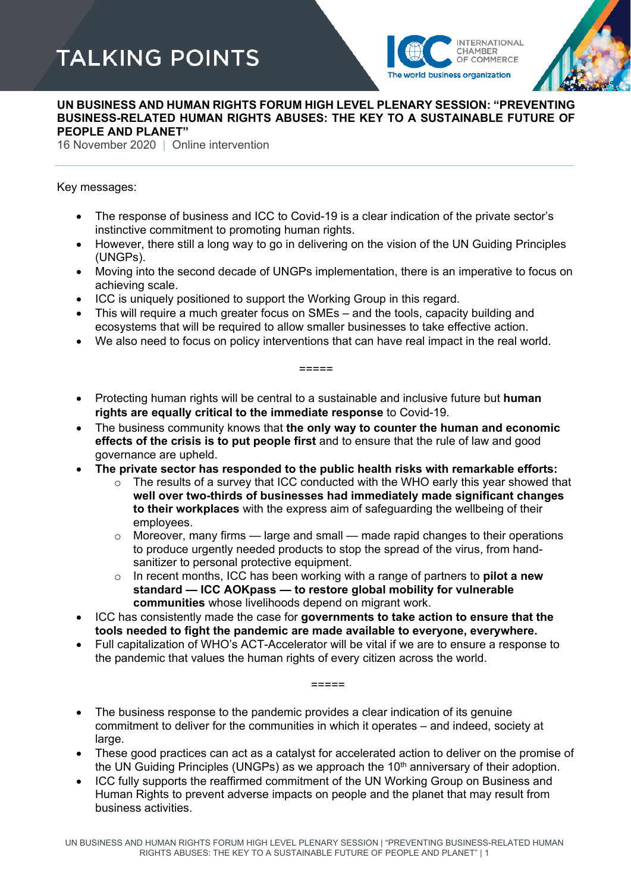## **TALKING POINTS**





## **UN BUSINESS AND HUMAN RIGHTS FORUM HIGH LEVEL PLENARY SESSION: "PREVENTING BUSINESS-RELATED HUMAN RIGHTS ABUSES: THE KEY TO A SUSTAINABLE FUTURE OF PEOPLE AND PLANET"**

16 November 2020 | Online intervention

## Key messages:

- The response of business and ICC to Covid-19 is a clear indication of the private sector's instinctive commitment to promoting human rights.
- However, there still a long way to go in delivering on the vision of the UN Guiding Principles (UNGPs).
- Moving into the second decade of UNGPs implementation, there is an imperative to focus on achieving scale.
- ICC is uniquely positioned to support the Working Group in this regard.
- This will require a much greater focus on SMEs and the tools, capacity building and ecosystems that will be required to allow smaller businesses to take effective action.
- We also need to focus on policy interventions that can have real impact in the real world.

=====

- Protecting human rights will be central to a sustainable and inclusive future but **human rights are equally critical to the immediate response** to Covid-19.
- The business community knows that **the only way to counter the human and economic effects of the crisis is to put people first** and to ensure that the rule of law and good governance are upheld.
- **The private sector has responded to the public health risks with remarkable efforts:**
	- $\circ$  The results of a survey that ICC conducted with the WHO early this year showed that **well over two-thirds of businesses had immediately made significant changes to their workplaces** with the express aim of safeguarding the wellbeing of their employees.
	- $\circ$  Moreover, many firms large and small made rapid changes to their operations to produce urgently needed products to stop the spread of the virus, from handsanitizer to personal protective equipment.
	- o In recent months, ICC has been working with a range of partners to **pilot a new standard — ICC AOKpass — to restore global mobility for vulnerable communities** whose livelihoods depend on migrant work.
- ICC has consistently made the case for **governments to take action to ensure that the tools needed to fight the pandemic are made available to everyone, everywhere.**
- Full capitalization of WHO's ACT-Accelerator will be vital if we are to ensure a response to the pandemic that values the human rights of every citizen across the world.

=====

- The business response to the pandemic provides a clear indication of its genuine commitment to deliver for the communities in which it operates – and indeed, society at large.
- These good practices can act as a catalyst for accelerated action to deliver on the promise of the UN Guiding Principles (UNGPs) as we approach the  $10<sup>th</sup>$  anniversary of their adoption.
- ICC fully supports the reaffirmed commitment of the UN Working Group on Business and Human Rights to prevent adverse impacts on people and the planet that may result from business activities.